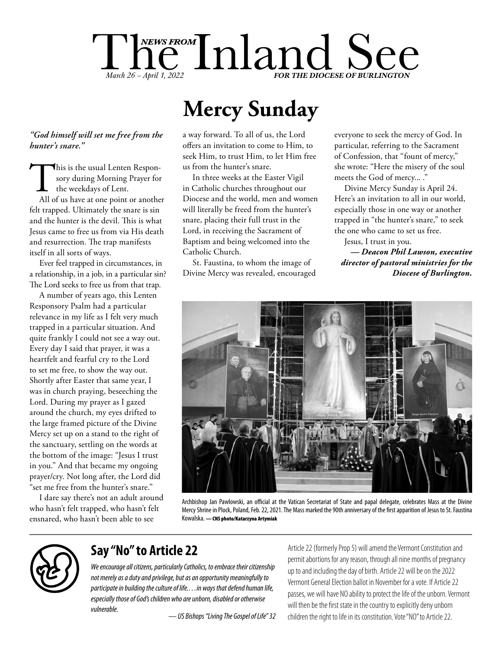

# **Mercy Sunday**

#### *"God himself will set me free from the hunter's snare."*

This is the usual Lenten Responsory during Morning Prayer for<br>the weekdays of Lent.<br>All of us have at one point or another sory during Morning Prayer for the weekdays of Lent. felt trapped. Ultimately the snare is sin and the hunter is the devil. This is what Jesus came to free us from via His death and resurrection. The trap manifests itself in all sorts of ways.

Ever feel trapped in circumstances, in a relationship, in a job, in a particular sin? The Lord seeks to free us from that trap.

A number of years ago, this Lenten Responsory Psalm had a particular relevance in my life as I felt very much trapped in a particular situation. And quite frankly I could not see a way out. Every day I said that prayer, it was a heartfelt and fearful cry to the Lord to set me free, to show the way out. Shortly after Easter that same year, I was in church praying, beseeching the Lord. During my prayer as I gazed around the church, my eyes drifted to the large framed picture of the Divine Mercy set up on a stand to the right of the sanctuary, settling on the words at the bottom of the image: "Jesus I trust in you." And that became my ongoing prayer/cry. Not long after, the Lord did "set me free from the hunter's snare."

I dare say there's not an adult around who hasn't felt trapped, who hasn't felt ensnared, who hasn't been able to see

a way forward. To all of us, the Lord offers an invitation to come to Him, to seek Him, to trust Him, to let Him free us from the hunter's snare.

In three weeks at the Easter Vigil in Catholic churches throughout our Diocese and the world, men and women will literally be freed from the hunter's snare, placing their full trust in the Lord, in receiving the Sacrament of Baptism and being welcomed into the Catholic Church.

St. Faustina, to whom the image of Divine Mercy was revealed, encouraged everyone to seek the mercy of God. In particular, referring to the Sacrament of Confession, that "fount of mercy," she wrote: "Here the misery of the soul meets the God of mercy... ."

Divine Mercy Sunday is April 24. Here's an invitation to all in our world, especially those in one way or another trapped in "the hunter's snare," to seek the one who came to set us free.

Jesus, I trust in you. *— Deacon Phil Lawson, executive director of pastoral ministries for the Diocese of Burlington.*



Archbishop Jan Pawlowski, an official at the Vatican Secretariat of State and papal delegate, celebrates Mass at the Divine Mercy Shrine in Plock, Poland, Feb. 22, 2021. The Mass marked the 90th anniversary of the first apparition of Jesus to St. Faustina Kowalska. — CNS photo/Katarzyna Artymiak



### **Say "No" to Article 22**

*We encourage all citizens, particularly Catholics, to embrace their citizenship not merely as a duty and privilege, but as an opportunity meaningfully to participate in building the culture of life.…in ways that defend human life, especially those of God's children who are unborn, disabled or otherwise vulnerable.*

*— US Bishops "Living The Gospel of Life" 32*

Article 22 (formerly Prop 5) will amend the Vermont Constitution and permit abortions for any reason, through all nine months of pregnancy up to and including the day of birth. Article 22 will be on the 2022 Vermont General Election ballot in November for a vote. If Article 22 passes, we will have NO ability to protect the life of the unborn. Vermont will then be the first state in the country to explicitly deny unborn children the right to life in its constitution. Vote "NO" to Article 22.